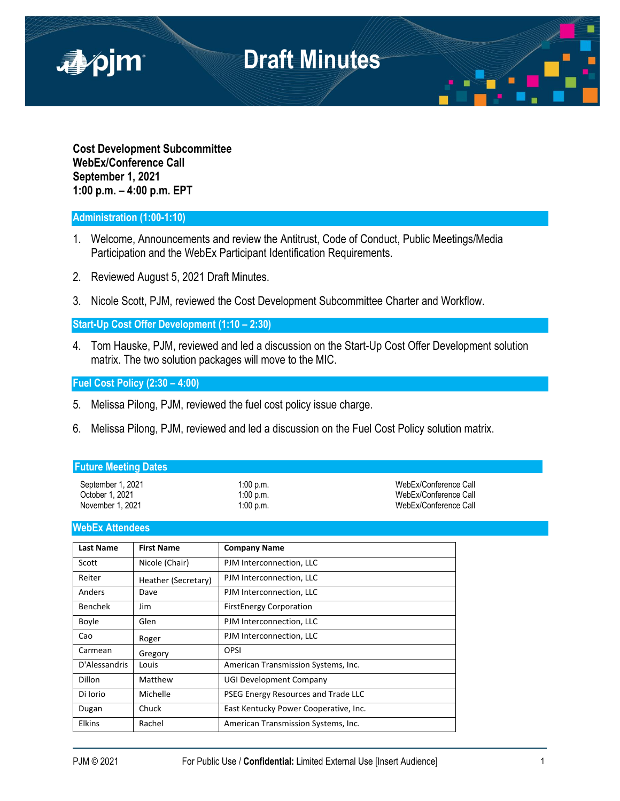

**Cost Development Subcommittee WebEx/Conference Call September 1, 2021 1:00 p.m. – 4:00 p.m. EPT**

### **Administration (1:00-1:10)**

- 1. Welcome, Announcements and review the Antitrust, Code of Conduct, Public Meetings/Media Participation and the WebEx Participant Identification Requirements.
- 2. Reviewed August 5, 2021 Draft Minutes.
- 3. Nicole Scott, PJM, reviewed the Cost Development Subcommittee Charter and Workflow.

**Start-Up Cost Offer Development (1:10 – 2:30)**

4. Tom Hauske, PJM, reviewed and led a discussion on the Start-Up Cost Offer Development solution matrix. The two solution packages will move to the MIC.

### **Fuel Cost Policy (2:30 – 4:00)**

- 5. Melissa Pilong, PJM, reviewed the fuel cost policy issue charge.
- 6. Melissa Pilong, PJM, reviewed and led a discussion on the Fuel Cost Policy solution matrix.

### **Future Meeting Dates**

| September 1, 2021 |
|-------------------|
| October 1, 2021   |
| November 1, 2021  |

1:00 p.m. September 2021 1:00 p.m. WebEx/Conference Call 1:00 p.m. Samuel Conference Call The Medical WebEx/Conference Call 1:00 p.m. WebEx/Conference Call

### **WebEx Attendees**

| <b>Last Name</b> | <b>First Name</b>   | <b>Company Name</b>                   |
|------------------|---------------------|---------------------------------------|
| Scott            | Nicole (Chair)      | PJM Interconnection, LLC              |
| Reiter           | Heather (Secretary) | PJM Interconnection, LLC              |
| Anders           | Dave                | PJM Interconnection, LLC              |
| Benchek          | Jim                 | <b>FirstEnergy Corporation</b>        |
| Boyle            | Glen                | PJM Interconnection, LLC              |
| Cao              | Roger               | PJM Interconnection, LLC              |
| Carmean          | Gregory             | <b>OPSI</b>                           |
| D'Alessandris    | Louis               | American Transmission Systems, Inc.   |
| Dillon           | Matthew             | UGI Development Company               |
| Di Iorio         | Michelle            | PSEG Energy Resources and Trade LLC   |
| Dugan            | Chuck               | East Kentucky Power Cooperative, Inc. |
| <b>Elkins</b>    | Rachel              | American Transmission Systems, Inc.   |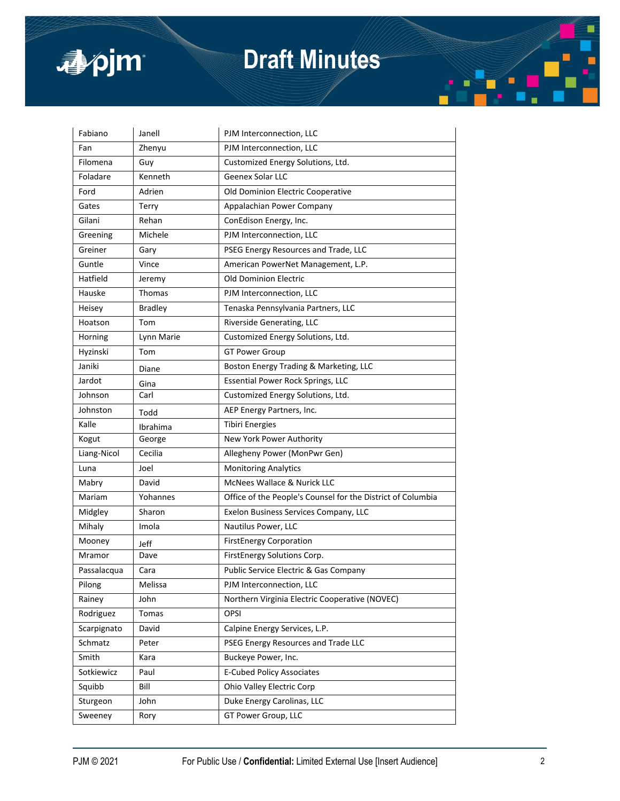

# **Draft Minutes**

| Fabiano     | Janell         | PJM Interconnection, LLC                                    |
|-------------|----------------|-------------------------------------------------------------|
| Fan         | Zhenyu         | PJM Interconnection, LLC                                    |
| Filomena    | Guy            | Customized Energy Solutions, Ltd.                           |
| Foladare    | Kenneth        | <b>Geenex Solar LLC</b>                                     |
| Ford        | Adrien         | Old Dominion Electric Cooperative                           |
| Gates       | <b>Terry</b>   | Appalachian Power Company                                   |
| Gilani      | Rehan          | ConEdison Energy, Inc.                                      |
| Greening    | Michele        | PJM Interconnection, LLC                                    |
| Greiner     | Gary           | PSEG Energy Resources and Trade, LLC                        |
| Guntle      | Vince          | American PowerNet Management, L.P.                          |
| Hatfield    | Jeremy         | <b>Old Dominion Electric</b>                                |
| Hauske      | Thomas         | PJM Interconnection, LLC                                    |
| Heisey      | <b>Bradley</b> | Tenaska Pennsylvania Partners, LLC                          |
| Hoatson     | Tom            | Riverside Generating, LLC                                   |
| Horning     | Lynn Marie     | Customized Energy Solutions, Ltd.                           |
| Hyzinski    | Tom            | <b>GT Power Group</b>                                       |
| Janiki      | Diane          | Boston Energy Trading & Marketing, LLC                      |
| Jardot      | Gina           | Essential Power Rock Springs, LLC                           |
| Johnson     | Carl           | Customized Energy Solutions, Ltd.                           |
| Johnston    | Todd           | AEP Energy Partners, Inc.                                   |
| Kalle       | Ibrahima       | <b>Tibiri Energies</b>                                      |
| Kogut       | George         | New York Power Authority                                    |
| Liang-Nicol | Cecilia        | Allegheny Power (MonPwr Gen)                                |
| Luna        | Joel           | <b>Monitoring Analytics</b>                                 |
| Mabry       | David          | McNees Wallace & Nurick LLC                                 |
| Mariam      | Yohannes       | Office of the People's Counsel for the District of Columbia |
| Midgley     | Sharon         | Exelon Business Services Company, LLC                       |
| Mihaly      | Imola          | Nautilus Power, LLC                                         |
| Mooney      | Jeff           | <b>FirstEnergy Corporation</b>                              |
| Mramor      | Dave           | FirstEnergy Solutions Corp.                                 |
| Passalacqua | Cara           | Public Service Electric & Gas Company                       |
| Pilong      | Melissa        | PJM Interconnection, LLC                                    |
| Rainey      | John           | Northern Virginia Electric Cooperative (NOVEC)              |
| Rodriguez   | Tomas          | OPSI                                                        |
| Scarpignato | David          | Calpine Energy Services, L.P.                               |
| Schmatz     | Peter          | PSEG Energy Resources and Trade LLC                         |
| Smith       | Kara           | Buckeye Power, Inc.                                         |
| Sotkiewicz  | Paul           | <b>E-Cubed Policy Associates</b>                            |
| Squibb      | Bill           | Ohio Valley Electric Corp                                   |
| Sturgeon    | John           | Duke Energy Carolinas, LLC                                  |
| Sweeney     | Rory           | GT Power Group, LLC                                         |